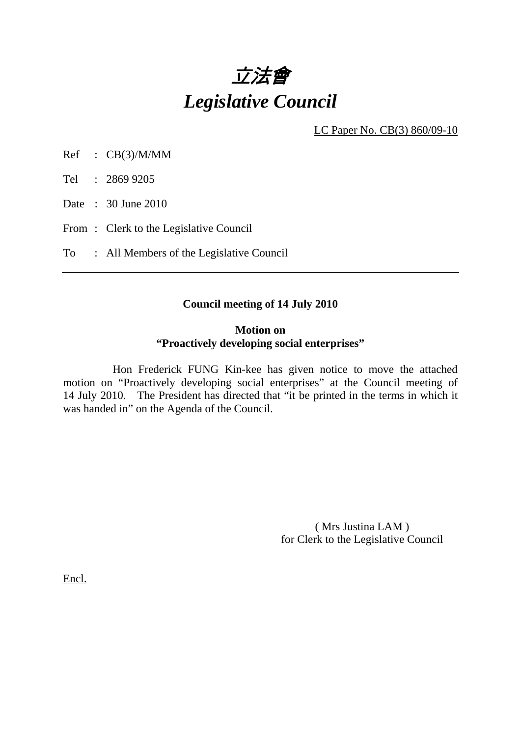

LC Paper No. CB(3) 860/09-10

Ref : CB(3)/M/MM

Tel : 2869 9205

Date : 30 June 2010

From: Clerk to the Legislative Council

To : All Members of the Legislative Council

## **Council meeting of 14 July 2010**

## **Motion on "Proactively developing social enterprises"**

 Hon Frederick FUNG Kin-kee has given notice to move the attached motion on "Proactively developing social enterprises" at the Council meeting of 14 July 2010. The President has directed that "it be printed in the terms in which it was handed in" on the Agenda of the Council.

> ( Mrs Justina LAM ) for Clerk to the Legislative Council

Encl.